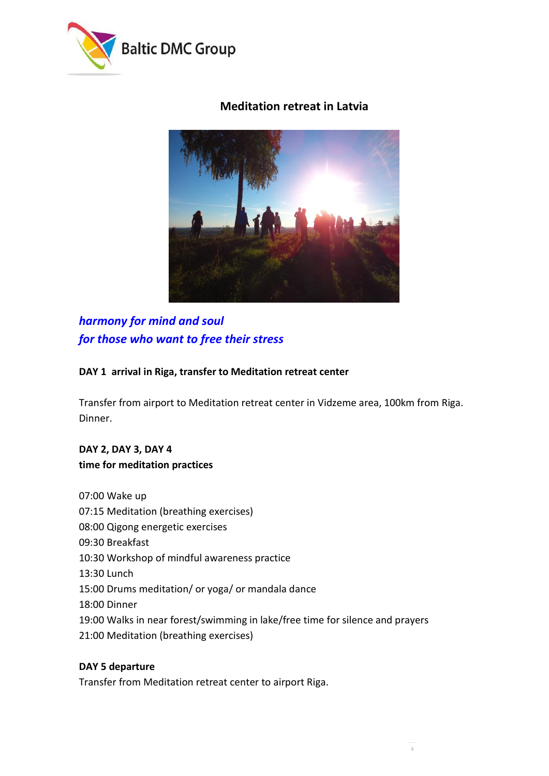

# **Meditation retreat in Latvia**



# *harmony for mind and soul for those who want to free their stress*

#### **DAY 1 arrival in Riga, transfer to Meditation retreat center**

Transfer from airport to Meditation retreat center in Vidzeme area, 100km from Riga. Dinner.

# **DAY 2, DAY 3, DAY 4 time for meditation practices**

07:00 Wake up 07:15 Meditation (breathing exercises) 08:00 Qigong energetic exercises 09:30 Breakfast 10:30 Workshop of mindful awareness practice 13:30 Lunch 15:00 Drums meditation/ or yoga/ or mandala dance 18:00 Dinner 19:00 Walks in near forest/swimming in lake/free time for silence and prayers 21:00 Meditation (breathing exercises)

#### **DAY 5 departure**

Transfer from Meditation retreat center to airport Riga.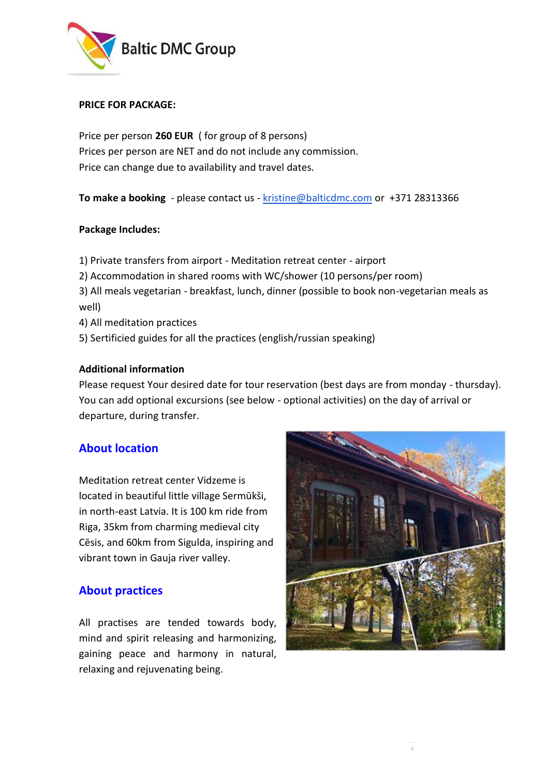

#### **PRICE FOR PACKAGE:**

Price per person **260 EUR** ( for group of 8 persons) Prices per person are NET and do not include any commission. Price can change due to availability and travel dates.

**To make a booking** - please contact us - [kristine@balticdmc.com](mailto:kristine@balticdmc.com) or +371 28313366

#### **Package Includes:**

- 1) Private transfers from airport Meditation retreat center airport
- 2) Accommodation in shared rooms with WC/shower (10 persons/per room)
- 3) All meals vegetarian breakfast, lunch, dinner (possible to book non-vegetarian meals as well)
- 4) All meditation practices
- 5) Sertificied guides for all the practices (english/russian speaking)

#### **Additional information**

Please request Your desired date for tour reservation (best days are from monday - thursday). You can add optional excursions (see below - optional activities) on the day of arrival or departure, during transfer.

#### **About location**

Meditation retreat center Vidzeme is located in beautiful little village Sermūkši, in north-east Latvia. It is 100 km ride from Riga, 35km from charming medieval city Cēsis, and 60km from Sigulda, inspiring and vibrant town in Gauja river valley.

#### **About practices**

All practises are tended towards body, mind and spirit releasing and harmonizing, gaining peace and harmony in natural, relaxing and rejuvenating being.

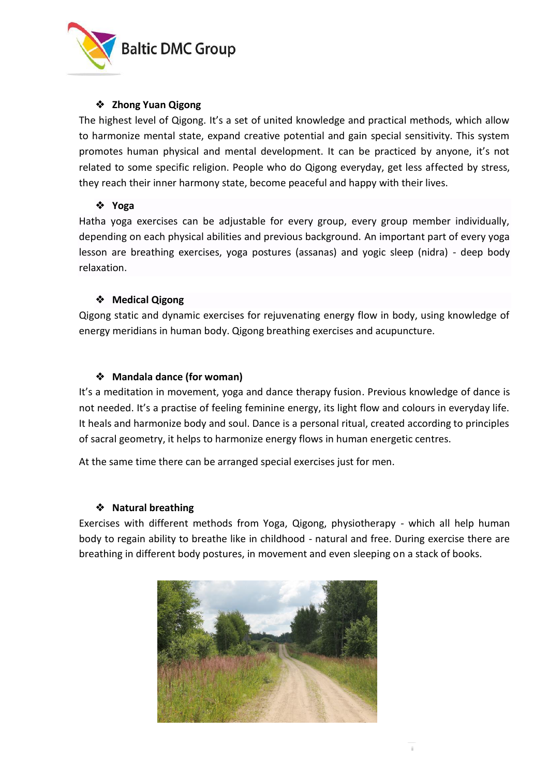

#### ❖ **Zhong Yuan Qigong**

The highest level of Qigong. It's a set of united knowledge and practical methods, which allow to harmonize mental state, expand creative potential and gain special sensitivity. This system promotes human physical and mental development. It can be practiced by anyone, it's not related to some specific religion. People who do Qigong everyday, get less affected by stress, they reach their inner harmony state, become peaceful and happy with their lives.

#### ❖ **Yoga**

Hatha yoga exercises can be adjustable for every group, every group member individually, depending on each physical abilities and previous background. An important part of every yoga lesson are breathing exercises, yoga postures (assanas) and yogic sleep (nidra) - deep body relaxation.

#### ❖ **Medical Qigong**

Qigong static and dynamic exercises for rejuvenating energy flow in body, using knowledge of energy meridians in human body. Qigong breathing exercises and acupuncture.

#### ❖ **Mandala dance (for woman)**

It's a meditation in movement, yoga and dance therapy fusion. Previous knowledge of dance is not needed. It's a practise of feeling feminine energy, its light flow and colours in everyday life. It heals and harmonize body and soul. Dance is a personal ritual, created according to principles of sacral geometry, it helps to harmonize energy flows in human energetic centres.

At the same time there can be arranged special exercises just for men.

#### ❖ **Natural breathing**

Exercises with different methods from Yoga, Qigong, physiotherapy - which all help human body to regain ability to breathe like in childhood - natural and free. During exercise there are breathing in different body postures, in movement and even sleeping on a stack of books.

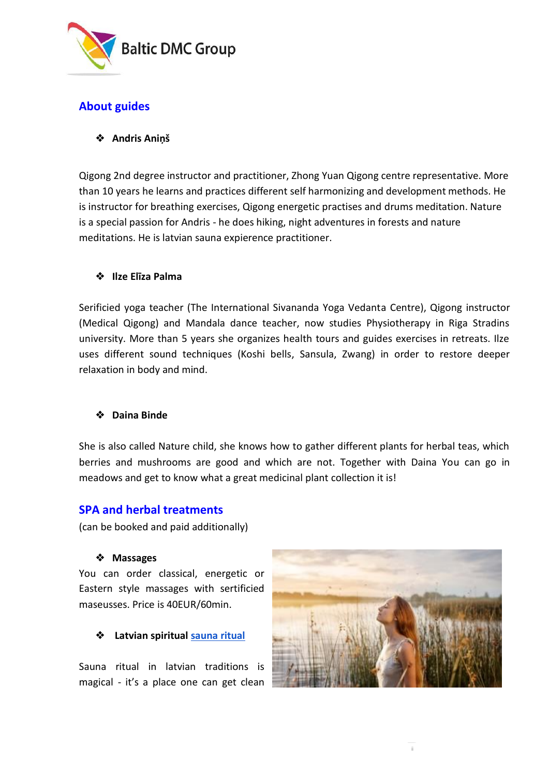

# **About guides**

## ❖ **Andris Aniņš**

Qigong 2nd degree instructor and practitioner, Zhong Yuan Qigong centre representative. More than 10 years he learns and practices different self harmonizing and development methods. He is instructor for breathing exercises, Qigong energetic practises and drums meditation. Nature is a special passion for Andris - he does hiking, night adventures in forests and nature meditations. He is latvian sauna expierence practitioner.

#### ❖ **Ilze Elīza Palma**

Serificied yoga teacher (The International Sivananda Yoga Vedanta Centre), Qigong instructor (Medical Qigong) and Mandala dance teacher, now studies Physiotherapy in Riga Stradins university. More than 5 years she organizes health tours and guides exercises in retreats. Ilze uses different sound techniques (Koshi bells, Sansula, Zwang) in order to restore deeper relaxation in body and mind.

#### ❖ **Daina Binde**

She is also called Nature child, she knows how to gather different plants for herbal teas, which berries and mushrooms are good and which are not. Together with Daina You can go in meadows and get to know what a great medicinal plant collection it is!

## **SPA and herbal treatments**

(can be booked and paid additionally)

#### ❖ **Massages**

You can order classical, energetic or Eastern style massages with sertificied maseusses. Price is 40EUR/60min.

#### ❖ **Latvian spiritua[l sauna ritual](http://www.latvia.travel/en/article/sauna-culture-latvia)**

Sauna ritual in latvian traditions is magical - it's a place one can get clean